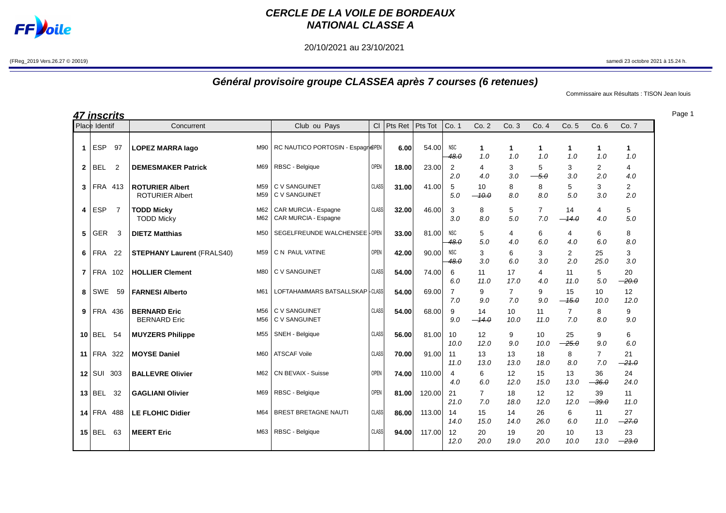

## **CERCLE DE LA VOILE DE BORDEAUX NATIONAL CLASSE A**

20/10/2021 au 23/10/2021

(FReg\_2019 Vers.26.27 © 20019) samedi 23 octobre 2021 à 15.24 h.

## **Général provisoire groupe CLASSEA après 7 courses (6 retenues)**

Commissaire aux Résultats : TISON Jean louis

|                 | <u>47 inscrits</u> |                |                                                  |                 |                                              |              |         |         |                       |                         |                       |                       |                       |                       |                       |
|-----------------|--------------------|----------------|--------------------------------------------------|-----------------|----------------------------------------------|--------------|---------|---------|-----------------------|-------------------------|-----------------------|-----------------------|-----------------------|-----------------------|-----------------------|
|                 | Place Identif      |                | Concurrent                                       |                 | Club ou Pays                                 | CI           | Pts Ret | Pts Tot | Co. 1                 | Co.2                    | Co.3                  | Co.4                  | Co. 5                 | Co. 6                 | Co. 7                 |
| $\mathbf 1$     | <b>ESP</b>         | 97             | <b>LOPEZ MARRA lago</b>                          | M90             | RC NAUTICO PORTOSIN - Espagn@PEN             |              | 6.00    | 54.00   | <b>NSC</b><br>48.0    | $\mathbf 1$<br>1.0      | $\mathbf{1}$<br>1.0   | 1<br>1.0              | 1<br>1.0              | $\mathbf{1}$<br>1.0   | 1<br>1.0              |
| $\mathbf{2}$    | <b>BEL</b>         | $\overline{2}$ | <b>DEMESMAKER Patrick</b>                        | M69             | RBSC - Belgique                              | <b>OPEN</b>  | 18.00   | 23.00   | 2<br>2.0              | 4<br>4.0                | 3<br>3.0              | 5<br>$-5.0$           | 3<br>3.0              | $\overline{2}$<br>2.0 | 4<br>4.0              |
| 3               | FRA 413            |                | <b>ROTURIER Albert</b><br><b>ROTURIER Albert</b> | M59<br>M59      | <b>C V SANGUINET</b><br>C V SANGUINET        | <b>CLASS</b> | 31.00   | 41.00   | 5<br>5.0              | 10<br>$-10.0$           | 8<br>8.0              | 8<br>8.0              | 5<br>5.0              | 3<br>3.0              | $\overline{2}$<br>2.0 |
| 4               | <b>ESP</b>         | 7              | <b>TODD Micky</b><br><b>TODD Micky</b>           | M62<br>M62      | CAR MURCIA - Espagne<br>CAR MURCIA - Espagne | CLASS        | 32.00   | 46.00   | 3<br>3.0              | 8<br>8.0                | 5<br>5.0              | $\overline{7}$<br>7.0 | 14<br>$-14.0$         | 4<br>4.0              | 5<br>5.0              |
| 5               | GER                | 3              | <b>DIETZ Matthias</b>                            | M50             | SEGELFREUNDE WALCHENSEE - OPEN               |              | 33.00   | 81.00   | <b>NSC</b><br>48.0    | 5<br>5.0                | 4<br>4.0              | 6<br>6.0              | 4<br>4.0              | 6<br>6.0              | 8<br>8.0              |
| 6               | FRA                | 22             | <b>STEPHANY Laurent (FRALS40)</b>                | M59             | C N PAUL VATINE                              | OPEN         | 42.00   | 90.00   | <b>NSC</b><br>48.0    | 3<br>3.0                | 6<br>6.0              | 3<br>3.0              | $\overline{2}$<br>2.0 | 25<br>25.0            | 3<br>3.0              |
| $\overline{7}$  | FRA 102            |                | <b>HOLLIER Clement</b>                           | M80             | C V SANGUINET                                | CLASS        | 54.00   | 74.00   | 6<br>6.0              | 11<br>11.0              | 17<br>17.0            | 4<br>4.0              | 11<br>11.0            | 5<br>5.0              | 20<br>$-20.0$         |
| 8               | SWE                | 59             | <b>FARNESI Alberto</b>                           | M61             | LOFTAHAMMARS BATSALLSKAP-CLASS               |              | 54.00   | 69.00   | $\overline{7}$<br>7.0 | 9<br>9.0                | $\overline{7}$<br>7.0 | 9<br>9.0              | 15<br>$-45.0$         | 10<br>10.0            | 12<br>12.0            |
| 9               | FRA 436            |                | <b>BERNARD Eric</b><br><b>BERNARD</b> Eric       | M56<br>M56      | C V SANGUINET<br>C V SANGUINET               | CLASS        | 54.00   | 68.00   | 9<br>9.0              | 14<br>$-14.0$           | 10<br>10.0            | 11<br>11.0            | $\overline{7}$<br>7.0 | 8<br>8.0              | 9<br>9.0              |
| 10 <sup>1</sup> | <b>BEL</b>         | 54             | <b>MUYZERS Philippe</b>                          | M <sub>55</sub> | SNEH - Belgique                              | CLASS        | 56.00   | 81.00   | 10<br>10.0            | 12 <sup>°</sup><br>12.0 | 9<br>9.0              | 10<br>10.0            | 25<br>$-25.0$         | 9<br>9.0              | 6<br>6.0              |
| 11              | <b>FRA 322</b>     |                | <b>MOYSE Daniel</b>                              | M60             | <b>ATSCAF Voile</b>                          | <b>CLASS</b> | 70.00   | 91.00   | 11<br>11.0            | 13<br>13.0              | 13<br>13.0            | 18<br>18.0            | 8<br>8.0              | $\overline{7}$<br>7.0 | 21<br>$-21.0$         |
|                 | $12$ SUI           | 303            | <b>BALLEVRE Olivier</b>                          | M62             | CN BEVAIX - Suisse                           | <b>OPEN</b>  | 74.00   | 110.00  | $\overline{4}$<br>4.0 | 6<br>6.0                | 12<br>12.0            | 15<br>15.0            | 13<br>13.0            | 36<br>$-36.0$         | 24<br>24.0            |
|                 | $13$ BEL           | 32             | <b>GAGLIANI Olivier</b>                          | M69             | RBSC - Belgique                              | <b>OPEN</b>  | 81.00   | 120.00  | 21<br>21.0            | $\overline{7}$<br>7.0   | 18<br>18.0            | 12<br>12.0            | 12<br>12.0            | 39<br>$-39.0$         | 11<br>11.0            |
|                 | <b>14 FRA 488</b>  |                | <b>LE FLOHIC Didier</b>                          | M64             | <b>BREST BRETAGNE NAUTI</b>                  | CLASS        | 86.00   | 113.00  | 14<br>14.0            | 15<br>15.0              | 14<br>14.0            | 26<br>26.0            | 6<br>6.0              | 11<br>11.0            | 27<br>$-27.0$         |
|                 | $15$ BEL           | 63             | <b>MEERT Eric</b>                                | M63             | RBSC - Belgique                              | <b>CLASS</b> | 94.00   | 117.00  | 12<br>12.0            | 20<br>20.0              | 19<br>19.0            | 20<br>20.0            | 10<br>10.0            | 13<br>13.0            | 23<br>$-23.0$         |

Page 1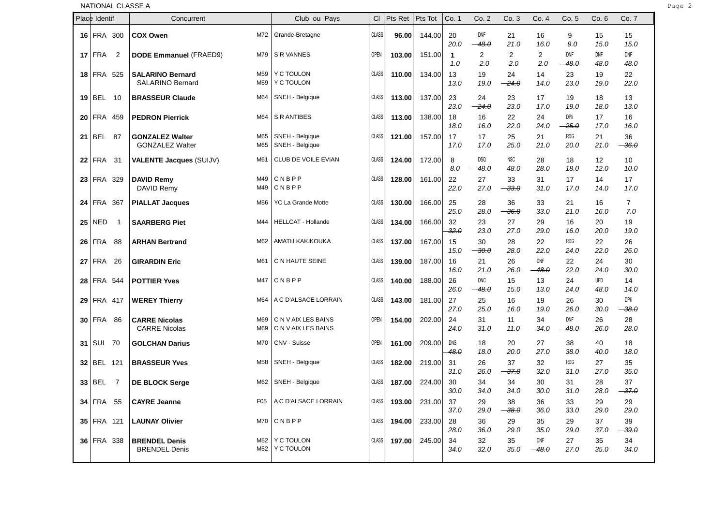|                             |                   |                | NATIONAL CLASSE A                                  |            |                                            |              |        |        |                        |                          |                    |                |                          |             |                          |
|-----------------------------|-------------------|----------------|----------------------------------------------------|------------|--------------------------------------------|--------------|--------|--------|------------------------|--------------------------|--------------------|----------------|--------------------------|-------------|--------------------------|
| Place Identif<br>Concurrent |                   |                | Club ou Pays                                       | CI         | Pts Ret   Pts Tot                          |              | Co. 1  | Co. 2  | Co. 3                  | Co. 4                    | Co. 5              | Co. 6          | Co. 7                    |             |                          |
|                             | <b>16 FRA 300</b> |                | <b>COX Owen</b>                                    | M72        | Grande-Bretagne                            | <b>CLASS</b> | 96.00  | 144.00 | 20<br>20.0             | DNF<br>$-48.0$           | 21<br>21.0         | 16<br>16.0     | 9<br>9.0                 | 15<br>15.0  | 15<br>15.0               |
|                             | $17$ FRA          | $\overline{2}$ | <b>DODE Emmanuel (FRAED9)</b>                      | M79        | S R VANNES                                 | <b>OPEN</b>  | 103.00 | 151.00 | $\mathbf{1}$<br>1.0    | $\overline{2}$<br>2.0    | 2<br>2.0           | 2<br>2.0       | DNF<br>$-48.0$           | DNF<br>48.0 | DNF<br>48.0              |
|                             | 18 FRA 525        |                | <b>SALARINO Bernard</b><br><b>SALARINO Bernard</b> | M59<br>M59 | Y C TOULON<br>Y C TOULON                   | <b>CLASS</b> | 110.00 | 134.00 | 13<br>13.0             | 19<br>19.0               | 24<br>$-24.0$      | 14<br>14.0     | 23<br>23.0               | 19<br>19.0  | 22<br>22.0               |
|                             | $19$ BEL 10       |                | <b>BRASSEUR Claude</b>                             | M64        | SNEH - Belgique                            | <b>CLASS</b> | 113.00 | 137.00 | 23<br>23.0             | 24<br>$-24.0$            | 23<br>23.0         | 17<br>17.0     | 19<br>19.0               | 18<br>18.0  | 13<br>13.0               |
|                             | 20 FRA 459        |                | <b>PEDRON Pierrick</b>                             | M64        | S R ANTIBES                                | <b>CLASS</b> | 113.00 | 138.00 | 18<br>18.0             | 16<br>16.0               | 22<br>22.0         | 24<br>24.0     | DPIi<br>$-25.0$          | 17<br>17.0  | 16<br>16.0               |
|                             | 21 BEL 87         |                | <b>GONZALEZ Walter</b><br><b>GONZALEZ Walter</b>   | M65<br>M65 | SNEH - Belgique<br>SNEH - Belgique         | <b>CLASS</b> | 121.00 | 157.00 | 17<br>17.0             | 17<br>17.0               | 25<br>25.0         | 21<br>21.0     | RDG<br>20.0              | 21<br>21.0  | 36<br>$-36.0$            |
|                             | $22$ FRA          | -31            | <b>VALENTE Jacques (SUIJV)</b>                     | M61        | CLUB DE VOILE EVIAN                        | <b>CLASS</b> | 124.00 | 172.00 | 8<br>8.0               | <b>DSQ</b><br>$-48.0$    | <b>NSC</b><br>48.0 | 28<br>28.0     | 18<br>18.0               | 12<br>12.0  | 10<br>10.0               |
|                             | 23 FRA 329        |                | <b>DAVID Remy</b><br>DAVID Remy                    | M49<br>M49 | CNBPP<br>CNBPP                             | <b>CLASS</b> | 128.00 | 161.00 | 22<br>22.0             | 27<br>27.0               | 33<br>$-33.0$      | 31<br>31.0     | 17<br>17.0               | 14<br>14.0  | 17<br>17.0               |
|                             | 24 FRA 367        |                | <b>PIALLAT Jacques</b>                             | M56        | YC La Grande Motte                         | <b>CLASS</b> | 130.00 | 166.00 | 25<br>25.0             | 28<br>28.0               | 36<br>$-36.0$      | 33<br>33.0     | 21<br>21.0               | 16<br>16.0  | $\overline{7}$<br>7.0    |
|                             | $25$ NED          | $\overline{1}$ | <b>SAARBERG Piet</b>                               | M44        | <b>HELLCAT - Hollande</b>                  | <b>CLASS</b> | 134.00 | 166.00 | 32<br>$32.\theta$      | 23<br>23.0               | 27<br>27.0         | 29<br>29.0     | 16<br>16.0               | 20<br>20.0  | 19<br>19.0               |
|                             | 26 FRA            | -88            | <b>ARHAN Bertrand</b>                              | M62        | AMATH KAKIKOUKA                            | <b>CLASS</b> | 137.00 | 167.00 | 15<br>15.0             | 30<br>$\rightarrow 30.0$ | 28<br>28.0         | 22<br>22.0     | RDG<br>24.0              | 22<br>22.0  | 26<br>26.0               |
|                             | 27 FRA 26         |                | <b>GIRARDIN Eric</b>                               | M61        | C N HAUTE SEINE                            | <b>CLASS</b> | 139.00 | 187.00 | 16<br>16.0             | 21<br>21.0               | 26<br>26.0         | DNF<br>$-48.0$ | 22<br>22.0               | 24<br>24.0  | 30<br>30.0               |
|                             | 28 FRA 544        |                | <b>POTTIER Yves</b>                                | M47        | CNBPP                                      | <b>CLASS</b> | 140.00 | 188.00 | 26<br>26.0             | <b>DNC</b><br>$-48.0$    | 15<br>15.0         | 13<br>13.0     | 24<br>24.0               | UFD<br>48.0 | 14<br>14.0               |
|                             | 29 FRA 417        |                | <b>WEREY Thierry</b>                               | M64        | A C D'ALSACE LORRAIN                       | <b>CLASS</b> | 143.00 | 181.00 | 27<br>27.0             | 25<br>25.0               | 16<br>16.0         | 19<br>19.0     | 26<br>26.0               | 30<br>30.0  | DPIi<br>$-38.0$          |
|                             | 30 FRA 86         |                | <b>CARRE Nicolas</b><br><b>CARRE Nicolas</b>       | M69<br>M69 | C N V AIX LES BAINS<br>C N V AIX LES BAINS | <b>OPEN</b>  | 154.00 | 202.00 | 24<br>24.0             | 31<br>31.0               | 11<br>11.0         | 34<br>34.0     | DNF<br><del>48.0</del> — | 26<br>26.0  | 28<br>28.0               |
|                             | 31 SUI 70         |                | <b>GOLCHAN Darius</b>                              | M70        | CNV - Suisse                               | <b>OPEN</b>  | 161.00 | 209.00 | DNS<br><del>48.0</del> | 18<br>18.0               | 20<br>20.0         | 27<br>27.0     | 38<br>38.0               | 40<br>40.0  | 18<br>18.0               |
|                             | 32 BEL 121        |                | <b>BRASSEUR Yves</b>                               | M58        | SNEH - Belgique                            | <b>CLASS</b> | 182.00 | 219.00 | 31<br>31.0             | 26<br>26.0               | 37<br>$-37.0$      | 32<br>32.0     | RDG<br>31.0              | 27<br>27.0  | 35<br>35.0               |
|                             | $33 BEL$ 7        |                | <b>DE BLOCK Serge</b>                              |            | M62   SNEH - Belgique                      | <b>CLASS</b> | 187.00 | 224.00 | 30<br>30.0             | 34<br>34.0               | 34<br>34.0         | 30<br>30.0     | 31<br>31.0               | 28<br>28.0  | 37<br>$\rightarrow$ 37.0 |
|                             | 34 FRA 55         |                | <b>CAYRE Jeanne</b>                                |            | F05   A C D'ALSACE LORRAIN                 | <b>CLASS</b> | 193.00 | 231.00 | 37<br>37.0             | 29<br>29.0               | 38<br>$-38.0$      | 36<br>36.0     | 33<br>33.0               | 29<br>29.0  | 29<br>29.0               |
|                             | 35 FRA 121        |                | <b>LAUNAY Olivier</b>                              |            | $M70$ $C$ N B P P                          | <b>CLASS</b> | 194.00 | 233.00 | 28<br>28.0             | 36<br>36.0               | 29<br>29.0         | 35<br>35.0     | 29<br>29.0               | 37<br>37.0  | 39<br>$-39.0$            |
|                             | 36 FRA 338        |                | <b>BRENDEL Denis</b><br><b>BRENDEL Denis</b>       |            | M52   Y C TOULON<br>M52   Y C TOULON       | <b>CLASS</b> | 197.00 | 245.00 | 34<br>34.0             | 32<br>32.0               | 35<br>35.0         | DNF<br>$-48.0$ | 27<br>27.0               | 35<br>35.0  | 34<br>34.0               |